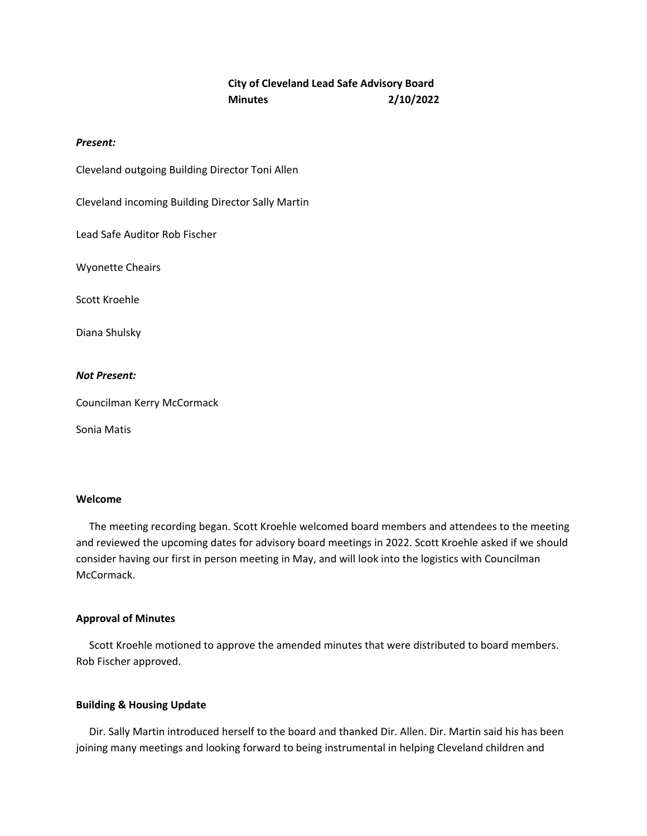# **City of Cleveland Lead Safe Advisory Board Minutes 2/10/2022**

# *Present:*

Cleveland outgoing Building Director Toni Allen

Cleveland incoming Building Director Sally Martin

Lead Safe Auditor Rob Fischer

Wyonette Cheairs

Scott Kroehle

Diana Shulsky

## *Not Present:*

Councilman Kerry McCormack

Sonia Matis

# **Welcome**

 The meeting recording began. Scott Kroehle welcomed board members and attendees to the meeting and reviewed the upcoming dates for advisory board meetings in 2022. Scott Kroehle asked if we should consider having our first in person meeting in May, and will look into the logistics with Councilman McCormack.

# **Approval of Minutes**

 Scott Kroehle motioned to approve the amended minutes that were distributed to board members. Rob Fischer approved.

# **Building & Housing Update**

 Dir. Sally Martin introduced herself to the board and thanked Dir. Allen. Dir. Martin said his has been joining many meetings and looking forward to being instrumental in helping Cleveland children and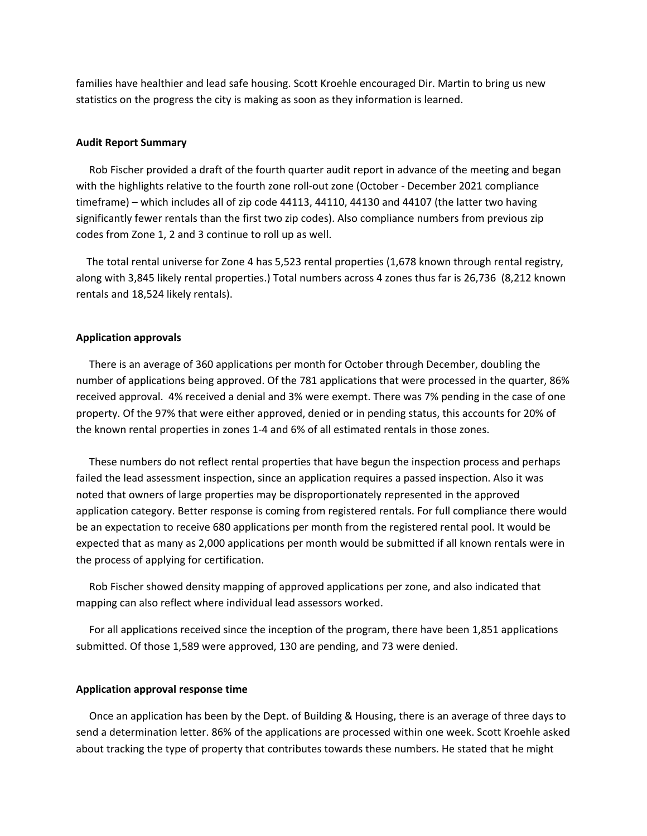families have healthier and lead safe housing. Scott Kroehle encouraged Dir. Martin to bring us new statistics on the progress the city is making as soon as they information is learned.

#### **Audit Report Summary**

 Rob Fischer provided a draft of the fourth quarter audit report in advance of the meeting and began with the highlights relative to the fourth zone roll‐out zone (October ‐ December 2021 compliance timeframe) – which includes all of zip code 44113, 44110, 44130 and 44107 (the latter two having significantly fewer rentals than the first two zip codes). Also compliance numbers from previous zip codes from Zone 1, 2 and 3 continue to roll up as well.

 The total rental universe for Zone 4 has 5,523 rental properties (1,678 known through rental registry, along with 3,845 likely rental properties.) Total numbers across 4 zones thus far is 26,736 (8,212 known rentals and 18,524 likely rentals).

#### **Application approvals**

There is an average of 360 applications per month for October through December, doubling the number of applications being approved. Of the 781 applications that were processed in the quarter, 86% received approval. 4% received a denial and 3% were exempt. There was 7% pending in the case of one property. Of the 97% that were either approved, denied or in pending status, this accounts for 20% of the known rental properties in zones 1‐4 and 6% of all estimated rentals in those zones.

 These numbers do not reflect rental properties that have begun the inspection process and perhaps failed the lead assessment inspection, since an application requires a passed inspection. Also it was noted that owners of large properties may be disproportionately represented in the approved application category. Better response is coming from registered rentals. For full compliance there would be an expectation to receive 680 applications per month from the registered rental pool. It would be expected that as many as 2,000 applications per month would be submitted if all known rentals were in the process of applying for certification.

 Rob Fischer showed density mapping of approved applications per zone, and also indicated that mapping can also reflect where individual lead assessors worked.

 For all applications received since the inception of the program, there have been 1,851 applications submitted. Of those 1,589 were approved, 130 are pending, and 73 were denied.

#### **Application approval response time**

Once an application has been by the Dept. of Building & Housing, there is an average of three days to send a determination letter. 86% of the applications are processed within one week. Scott Kroehle asked about tracking the type of property that contributes towards these numbers. He stated that he might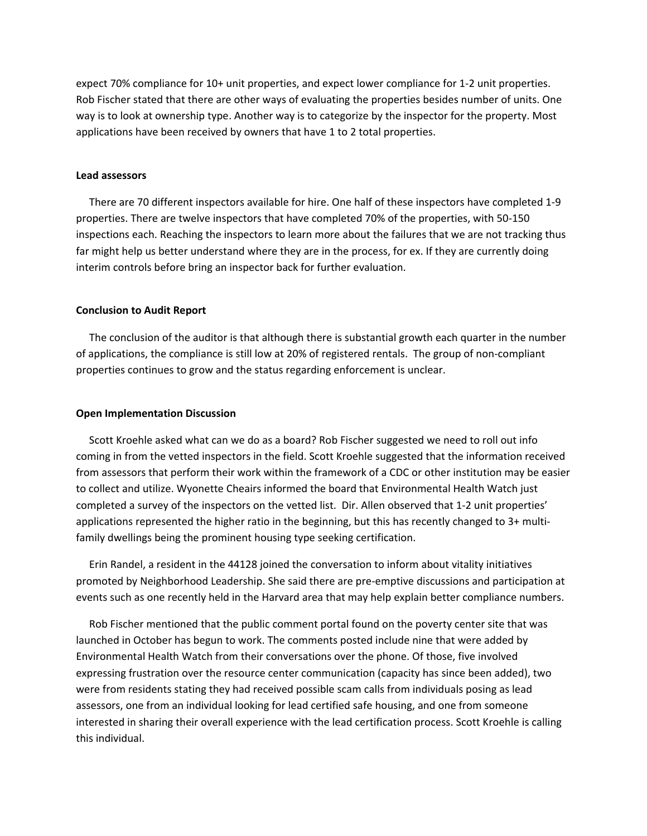expect 70% compliance for 10+ unit properties, and expect lower compliance for 1‐2 unit properties. Rob Fischer stated that there are other ways of evaluating the properties besides number of units. One way is to look at ownership type. Another way is to categorize by the inspector for the property. Most applications have been received by owners that have 1 to 2 total properties.

#### **Lead assessors**

There are 70 different inspectors available for hire. One half of these inspectors have completed 1‐9 properties. There are twelve inspectors that have completed 70% of the properties, with 50‐150 inspections each. Reaching the inspectors to learn more about the failures that we are not tracking thus far might help us better understand where they are in the process, for ex. If they are currently doing interim controls before bring an inspector back for further evaluation.

## **Conclusion to Audit Report**

 The conclusion of the auditor is that although there is substantial growth each quarter in the number of applications, the compliance is still low at 20% of registered rentals. The group of non‐compliant properties continues to grow and the status regarding enforcement is unclear.

# **Open Implementation Discussion**

 Scott Kroehle asked what can we do as a board? Rob Fischer suggested we need to roll out info coming in from the vetted inspectors in the field. Scott Kroehle suggested that the information received from assessors that perform their work within the framework of a CDC or other institution may be easier to collect and utilize. Wyonette Cheairs informed the board that Environmental Health Watch just completed a survey of the inspectors on the vetted list. Dir. Allen observed that 1‐2 unit properties' applications represented the higher ratio in the beginning, but this has recently changed to 3+ multifamily dwellings being the prominent housing type seeking certification.

 Erin Randel, a resident in the 44128 joined the conversation to inform about vitality initiatives promoted by Neighborhood Leadership. She said there are pre‐emptive discussions and participation at events such as one recently held in the Harvard area that may help explain better compliance numbers.

 Rob Fischer mentioned that the public comment portal found on the poverty center site that was launched in October has begun to work. The comments posted include nine that were added by Environmental Health Watch from their conversations over the phone. Of those, five involved expressing frustration over the resource center communication (capacity has since been added), two were from residents stating they had received possible scam calls from individuals posing as lead assessors, one from an individual looking for lead certified safe housing, and one from someone interested in sharing their overall experience with the lead certification process. Scott Kroehle is calling this individual.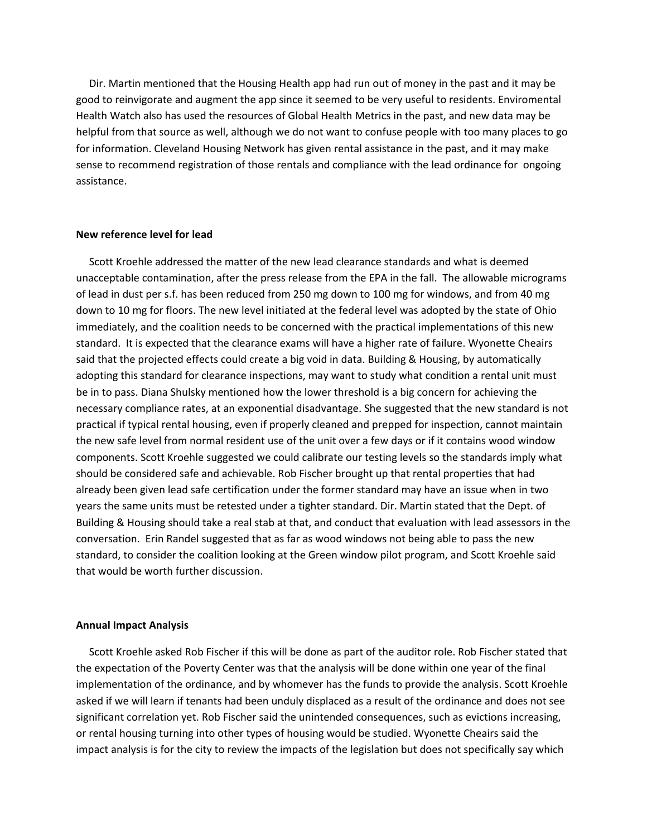Dir. Martin mentioned that the Housing Health app had run out of money in the past and it may be good to reinvigorate and augment the app since it seemed to be very useful to residents. Enviromental Health Watch also has used the resources of Global Health Metrics in the past, and new data may be helpful from that source as well, although we do not want to confuse people with too many places to go for information. Cleveland Housing Network has given rental assistance in the past, and it may make sense to recommend registration of those rentals and compliance with the lead ordinance for ongoing assistance.

# **New reference level for lead**

Scott Kroehle addressed the matter of the new lead clearance standards and what is deemed unacceptable contamination, after the press release from the EPA in the fall. The allowable micrograms of lead in dust per s.f. has been reduced from 250 mg down to 100 mg for windows, and from 40 mg down to 10 mg for floors. The new level initiated at the federal level was adopted by the state of Ohio immediately, and the coalition needs to be concerned with the practical implementations of this new standard. It is expected that the clearance exams will have a higher rate of failure. Wyonette Cheairs said that the projected effects could create a big void in data. Building & Housing, by automatically adopting this standard for clearance inspections, may want to study what condition a rental unit must be in to pass. Diana Shulsky mentioned how the lower threshold is a big concern for achieving the necessary compliance rates, at an exponential disadvantage. She suggested that the new standard is not practical if typical rental housing, even if properly cleaned and prepped for inspection, cannot maintain the new safe level from normal resident use of the unit over a few days or if it contains wood window components. Scott Kroehle suggested we could calibrate our testing levels so the standards imply what should be considered safe and achievable. Rob Fischer brought up that rental properties that had already been given lead safe certification under the former standard may have an issue when in two years the same units must be retested under a tighter standard. Dir. Martin stated that the Dept. of Building & Housing should take a real stab at that, and conduct that evaluation with lead assessors in the conversation. Erin Randel suggested that as far as wood windows not being able to pass the new standard, to consider the coalition looking at the Green window pilot program, and Scott Kroehle said that would be worth further discussion.

#### **Annual Impact Analysis**

Scott Kroehle asked Rob Fischer if this will be done as part of the auditor role. Rob Fischer stated that the expectation of the Poverty Center was that the analysis will be done within one year of the final implementation of the ordinance, and by whomever has the funds to provide the analysis. Scott Kroehle asked if we will learn if tenants had been unduly displaced as a result of the ordinance and does not see significant correlation yet. Rob Fischer said the unintended consequences, such as evictions increasing, or rental housing turning into other types of housing would be studied. Wyonette Cheairs said the impact analysis is for the city to review the impacts of the legislation but does not specifically say which